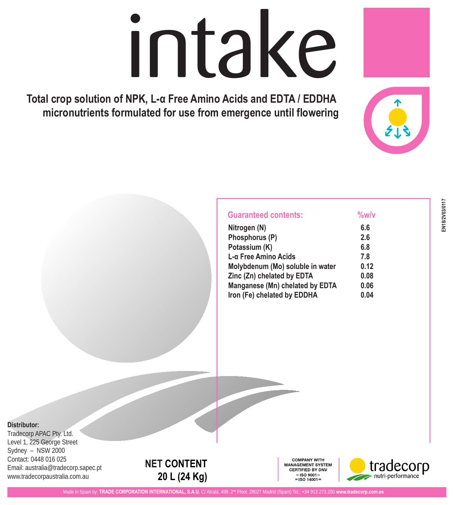# intake

**Total crop solution of NPK, L-α Free Amino Acids and EDTA / EDDHA micronutrients formulated for use from emergence until flowering**

| <b>Guaranteed contents:</b> | %w/v |  |
|-----------------------------|------|--|
| Nitrogen (N)                | 6.6  |  |
| Phosphorus (P)              | 2.6  |  |
| Potassium (K)               | 6.8  |  |

| Priospriorus (P)                 | Z.O  |
|----------------------------------|------|
| Potassium (K)                    | 6.8  |
| L-α Free Amino Acids             | 7.8  |
| Molybdenum (Mo) soluble in water | 0.12 |
| Zinc (Zn) chelated by EDTA       | 0.08 |
| Manganese (Mn) chelated by EDTA  | 0.06 |
| Iron (Fe) chelated by EDDHA      | 0.04 |

# **Distributor:**

Tradecorp APAC Pty. Ltd. Level 1, 225 George Street Sydney – NSW 2000 Contact: 0448 016 025 Email: australia@tradecorp.sapec.pt www.tradecorpaustralia.com.au



**COMPANY WITH** MANAGEMENT SYSTEM **CERTIFIED BY DNV**  $=$ ISO 9001 $=$  $=$  ISO 14001 =